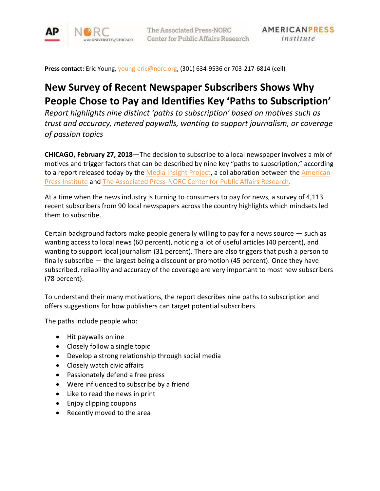

**Press contact:** Eric Young, [young-eric@norc.org,](mailto:young-eric@norc.org) (301) 634-9536 or 703-217-6814 (cell)

# **New Survey of Recent Newspaper Subscribers Shows Why People Chose to Pay and Identifies Key 'Paths to Subscription'**

*Report highlights nine distinct 'paths to subscription' based on motives such as trust and accuracy, metered paywalls, wanting to support journalism, or coverage of passion topics*

**CHICAGO, February 27, 2018**—The decision to subscribe to a local newspaper involves a mix of motives and trigger factors that can be described by nine key "paths to subscription," according to a report released today by the [Media Insight Project,](http://www.mediainsight.org/Pages/default.aspx) a collaboration between the American [Press Institute](https://www.americanpressinstitute.org/) and [The Associated Press-NORC Center for Public Affairs Research.](http://www.apnorc.org/)

At a time when the news industry is turning to consumers to pay for news, a survey of 4,113 recent subscribers from 90 local newspapers across the country highlights which mindsets led them to subscribe.

Certain background factors make people generally willing to pay for a news source — such as wanting access to local news (60 percent), noticing a lot of useful articles (40 percent), and wanting to support local journalism (31 percent). There are also triggers that push a person to finally subscribe — the largest being a discount or promotion (45 percent). Once they have subscribed, reliability and accuracy of the coverage are very important to most new subscribers (78 percent).

To understand their many motivations, the report describes nine paths to subscription and offers suggestions for how publishers can target potential subscribers.

The paths include people who:

- Hit paywalls online
- Closely follow a single topic
- Develop a strong relationship through social media
- Closely watch civic affairs
- Passionately defend a free press
- Were influenced to subscribe by a friend
- Like to read the news in print
- Enjoy clipping coupons
- Recently moved to the area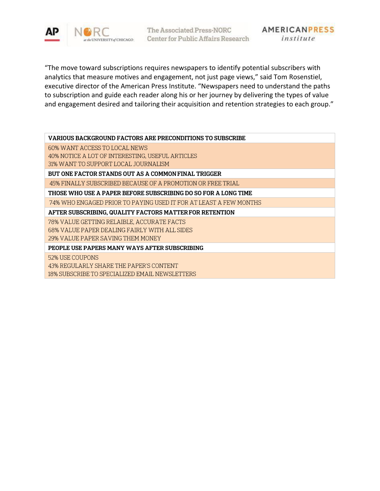

"The move toward subscriptions requires newspapers to identify potential subscribers with analytics that measure motives and engagement, not just page views," said Tom Rosenstiel, executive director of the American Press Institute. "Newspapers need to understand the paths to subscription and guide each reader along his or her journey by delivering the types of value and engagement desired and tailoring their acquisition and retention strategies to each group."

| <b>VARIOUS BACKGROUND FACTORS ARE PRECONDITIONS TO SUBSCRIBE</b><br>60% WANT ACCESS TO LOCAL NEWS<br>40% NOTICE A LOT OF INTERESTING, USEFUL ARTICLES<br>31% WANT TO SUPPORT LOCAL JOURNALISM<br>BUT ONE FACTOR STANDS OUT AS A COMMON FINAL TRIGGER<br>45% FINALLY SUBSCRIBED BECAUSE OF A PROMOTION OR FREE TRIAL<br>THOSE WHO USE A PAPER BEFORE SUBSCRIBING DO SO FOR A LONG TIME<br>74% WHO ENGAGED PRIOR TO PAYING USED IT FOR AT LEAST A FEW MONTHS<br>AFTER SUBSCRIBING, QUALITY FACTORS MATTER FOR RETENTION |
|-----------------------------------------------------------------------------------------------------------------------------------------------------------------------------------------------------------------------------------------------------------------------------------------------------------------------------------------------------------------------------------------------------------------------------------------------------------------------------------------------------------------------|
|                                                                                                                                                                                                                                                                                                                                                                                                                                                                                                                       |
|                                                                                                                                                                                                                                                                                                                                                                                                                                                                                                                       |
|                                                                                                                                                                                                                                                                                                                                                                                                                                                                                                                       |
|                                                                                                                                                                                                                                                                                                                                                                                                                                                                                                                       |
|                                                                                                                                                                                                                                                                                                                                                                                                                                                                                                                       |
|                                                                                                                                                                                                                                                                                                                                                                                                                                                                                                                       |
|                                                                                                                                                                                                                                                                                                                                                                                                                                                                                                                       |
|                                                                                                                                                                                                                                                                                                                                                                                                                                                                                                                       |
|                                                                                                                                                                                                                                                                                                                                                                                                                                                                                                                       |
| 78% VALUE GETTING RELAIBLE. ACCURATE FACTS                                                                                                                                                                                                                                                                                                                                                                                                                                                                            |
| 68% VALUE PAPER DEALING FAIRLY WITH ALL SIDES                                                                                                                                                                                                                                                                                                                                                                                                                                                                         |
| 29% VALUE PAPER SAVING THEM MONEY                                                                                                                                                                                                                                                                                                                                                                                                                                                                                     |
| PEOPLE USE PAPERS MANY WAYS AFTER SUBSCRIBING                                                                                                                                                                                                                                                                                                                                                                                                                                                                         |
| 52% USE COUPONS                                                                                                                                                                                                                                                                                                                                                                                                                                                                                                       |
| 43% REGULARLY SHARE THE PAPER'S CONTENT                                                                                                                                                                                                                                                                                                                                                                                                                                                                               |
| 18% SUBSCRIBE TO SPECIALIZED EMAIL NEWSLETTERS                                                                                                                                                                                                                                                                                                                                                                                                                                                                        |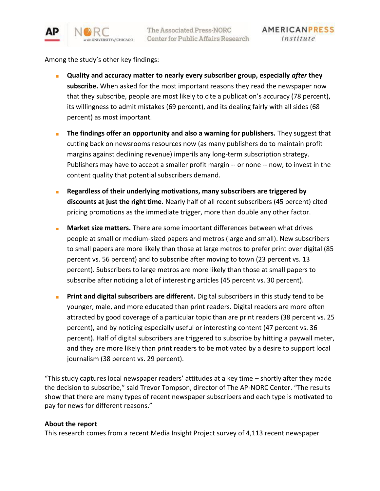

Among the study's other key findings:

- **Quality and accuracy matter to nearly every subscriber group, especially** *after* **they subscribe.** When asked for the most important reasons they read the newspaper now that they subscribe, people are most likely to cite a publication's accuracy (78 percent), its willingness to admit mistakes (69 percent), and its dealing fairly with all sides (68 percent) as most important.
- **The findings offer an opportunity and also a warning for publishers.** They suggest that cutting back on newsrooms resources now (as many publishers do to maintain profit margins against declining revenue) imperils any long-term subscription strategy. Publishers may have to accept a smaller profit margin -- or none -- now, to invest in the content quality that potential subscribers demand.
- **Regardless of their underlying motivations, many subscribers are triggered by discounts at just the right time.** Nearly half of all recent subscribers (45 percent) cited pricing promotions as the immediate trigger, more than double any other factor.
- Market size matters. There are some important differences between what drives people at small or medium-sized papers and metros (large and small). New subscribers to small papers are more likely than those at large metros to prefer print over digital (85 percent vs. 56 percent) and to subscribe after moving to town (23 percent vs. 13 percent). Subscribers to large metros are more likely than those at small papers to subscribe after noticing a lot of interesting articles (45 percent vs. 30 percent).
- **Print and digital subscribers are different.** Digital subscribers in this study tend to be younger, male, and more educated than print readers. Digital readers are more often attracted by good coverage of a particular topic than are print readers (38 percent vs. 25 percent), and by noticing especially useful or interesting content (47 percent vs. 36 percent). Half of digital subscribers are triggered to subscribe by hitting a paywall meter, and they are more likely than print readers to be motivated by a desire to support local journalism (38 percent vs. 29 percent).

"This study captures local newspaper readers' attitudes at a key time – shortly after they made the decision to subscribe," said Trevor Tompson, director of The AP-NORC Center. "The results show that there are many types of recent newspaper subscribers and each type is motivated to pay for news for different reasons."

#### **About the report**

This research comes from a recent Media Insight Project survey of 4,113 recent newspaper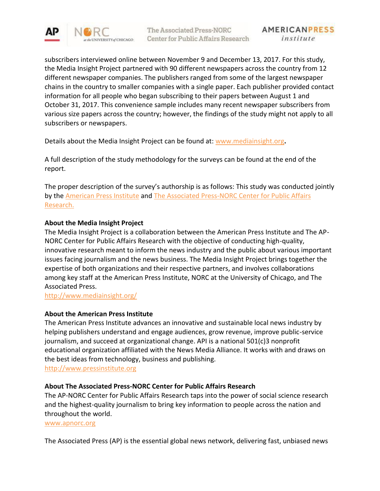

subscribers interviewed online between November 9 and December 13, 2017. For this study, the Media Insight Project partnered with 90 different newspapers across the country from 12 different newspaper companies. The publishers ranged from some of the largest newspaper chains in the country to smaller companies with a single paper. Each publisher provided contact information for all people who began subscribing to their papers between August 1 and October 31, 2017. This convenience sample includes many recent newspaper subscribers from various size papers across the country; however, the findings of the study might not apply to all subscribers or newspapers.

Details about the Media Insight Project can be found at: [www.mediainsight.org](http://www.mediainsight.org/)**.**

A full description of the study methodology for the surveys can be found at the end of the report.

The proper description of the survey's authorship is as follows: This study was conducted jointly by the [American Press Institute](http://www.americanpressinstitute.org/) and The Associated Press-NORC Center for Public Affairs [Research.](http://apnorc.org/Pages/default.aspx)

## **About the Media Insight Project**

The Media Insight Project is a collaboration between the American Press Institute and The AP-NORC Center for Public Affairs Research with the objective of conducting high-quality, innovative research meant to inform the news industry and the public about various important issues facing journalism and the news business. The Media Insight Project brings together the expertise of both organizations and their respective partners, and involves collaborations among key staff at the American Press Institute, NORC at the University of Chicago, and The Associated Press.

<http://www.mediainsight.org/>

## **About the American Press Institute**

The American Press Institute advances an innovative and sustainable local news industry by helping publishers understand and engage audiences, grow revenue, improve public-service journalism, and succeed at organizational change. API is a national 501(c)3 nonprofit educational organization affiliated with the News Media Alliance. It works with and draws on the best ideas from technology, business and publishing.

[http://www.pressinstitute.org](http://www.pressinstitute.org/)

## **About The Associated Press-NORC Center for Public Affairs Research**

The AP-NORC Center for Public Affairs Research taps into the power of social science research and the highest-quality journalism to bring key information to people across the nation and throughout the world.

[www.apnorc.org](http://www.apnorc.org/)

The Associated Press (AP) is the essential global news network, delivering fast, unbiased news